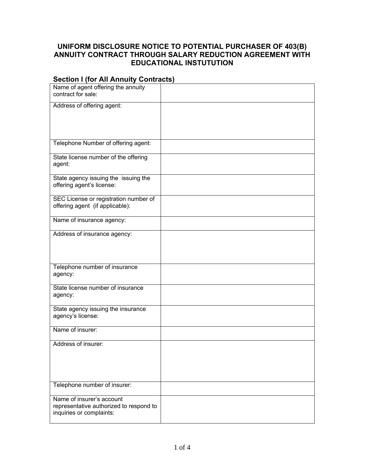## **UNIFORM DISCLOSURE NOTICE TO POTENTIAL PURCHASER OF 403(B) ANNUITY CONTRACT THROUGH SALARY REDUCTION AGREEMENT WITH EDUCATIONAL INSTUTUTION**

## **Section I (for All Annuity Contracts)**

| Name of agent offering the annuity<br>contract for sale:                 |  |
|--------------------------------------------------------------------------|--|
| Address of offering agent:                                               |  |
|                                                                          |  |
|                                                                          |  |
| Telephone Number of offering agent:                                      |  |
| State license number of the offering                                     |  |
| agent:                                                                   |  |
| State agency issuing the issuing the<br>offering agent's license:        |  |
|                                                                          |  |
| SEC License or registration number of<br>offering agent (if applicable): |  |
| Name of insurance agency:                                                |  |
|                                                                          |  |
| Address of insurance agency:                                             |  |
|                                                                          |  |
|                                                                          |  |
| Telephone number of insurance<br>agency:                                 |  |
| State license number of insurance<br>agency:                             |  |
|                                                                          |  |
| State agency issuing the insurance<br>agency's license:                  |  |
| Name of insurer:                                                         |  |
| Address of insurer:                                                      |  |
|                                                                          |  |
|                                                                          |  |
|                                                                          |  |
| Telephone number of insurer:                                             |  |
| Name of insurer's account<br>representative authorized to respond to     |  |
| inquiries or complaints:                                                 |  |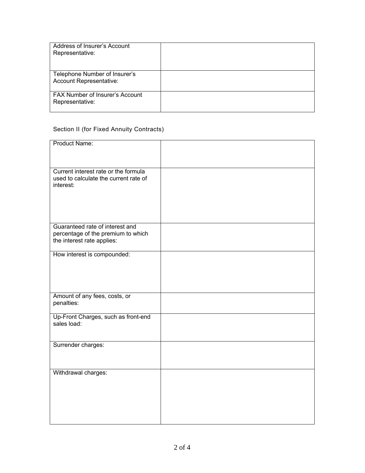| Address of Insurer's Account<br>Representative:           |  |
|-----------------------------------------------------------|--|
| Telephone Number of Insurer's<br>Account Representative:  |  |
| <b>FAX Number of Insurer's Account</b><br>Representative: |  |

## Section II (for Fixed Annuity Contracts)

| Product Name:                         |  |
|---------------------------------------|--|
|                                       |  |
|                                       |  |
|                                       |  |
|                                       |  |
|                                       |  |
| Current interest rate or the formula  |  |
| used to calculate the current rate of |  |
|                                       |  |
| interest:                             |  |
|                                       |  |
|                                       |  |
|                                       |  |
|                                       |  |
|                                       |  |
|                                       |  |
|                                       |  |
|                                       |  |
| Guaranteed rate of interest and       |  |
|                                       |  |
| percentage of the premium to which    |  |
| the interest rate applies:            |  |
|                                       |  |
|                                       |  |
| How interest is compounded:           |  |
|                                       |  |
|                                       |  |
|                                       |  |
|                                       |  |
|                                       |  |
|                                       |  |
|                                       |  |
|                                       |  |
|                                       |  |
| Amount of any fees, costs, or         |  |
| penalties:                            |  |
|                                       |  |
|                                       |  |
| Up-Front Charges, such as front-end   |  |
| sales load:                           |  |
|                                       |  |
|                                       |  |
|                                       |  |
|                                       |  |
| Surrender charges:                    |  |
|                                       |  |
|                                       |  |
|                                       |  |
|                                       |  |
|                                       |  |
| Withdrawal charges:                   |  |
|                                       |  |
|                                       |  |
|                                       |  |
|                                       |  |
|                                       |  |
|                                       |  |
|                                       |  |
|                                       |  |
|                                       |  |
|                                       |  |
|                                       |  |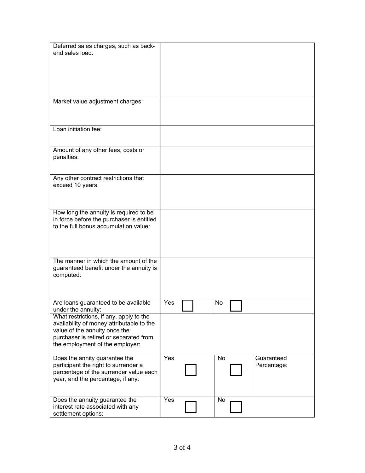| Deferred sales charges, such as back-                                          |     |    |             |  |
|--------------------------------------------------------------------------------|-----|----|-------------|--|
| end sales load:                                                                |     |    |             |  |
|                                                                                |     |    |             |  |
|                                                                                |     |    |             |  |
|                                                                                |     |    |             |  |
|                                                                                |     |    |             |  |
| Market value adjustment charges:                                               |     |    |             |  |
|                                                                                |     |    |             |  |
|                                                                                |     |    |             |  |
| Loan initiation fee:                                                           |     |    |             |  |
|                                                                                |     |    |             |  |
|                                                                                |     |    |             |  |
| Amount of any other fees, costs or                                             |     |    |             |  |
| penalties:                                                                     |     |    |             |  |
|                                                                                |     |    |             |  |
| Any other contract restrictions that                                           |     |    |             |  |
| exceed 10 years:                                                               |     |    |             |  |
|                                                                                |     |    |             |  |
|                                                                                |     |    |             |  |
| How long the annuity is required to be                                         |     |    |             |  |
| in force before the purchaser is entitled                                      |     |    |             |  |
| to the full bonus accumulation value:                                          |     |    |             |  |
|                                                                                |     |    |             |  |
|                                                                                |     |    |             |  |
|                                                                                |     |    |             |  |
| The manner in which the amount of the                                          |     |    |             |  |
| guaranteed benefit under the annuity is<br>computed:                           |     |    |             |  |
|                                                                                |     |    |             |  |
|                                                                                |     |    |             |  |
| Are loans guaranteed to be available                                           | Yes | No |             |  |
| under the annuity:                                                             |     |    |             |  |
| What restrictions, if any, apply to the                                        |     |    |             |  |
| availability of money attributable to the                                      |     |    |             |  |
| value of the annuity once the<br>purchaser is retired or separated from        |     |    |             |  |
| the employment of the employer:                                                |     |    |             |  |
|                                                                                |     |    |             |  |
| Does the annity guarantee the                                                  | Yes | No | Guaranteed  |  |
| participant the right to surrender a<br>percentage of the surrender value each |     |    | Percentage: |  |
| year, and the percentage, if any:                                              |     |    |             |  |
|                                                                                |     |    |             |  |
|                                                                                |     |    |             |  |
| Does the annuity guarantee the<br>interest rate associated with any            | Yes | No |             |  |
| settlement options:                                                            |     |    |             |  |